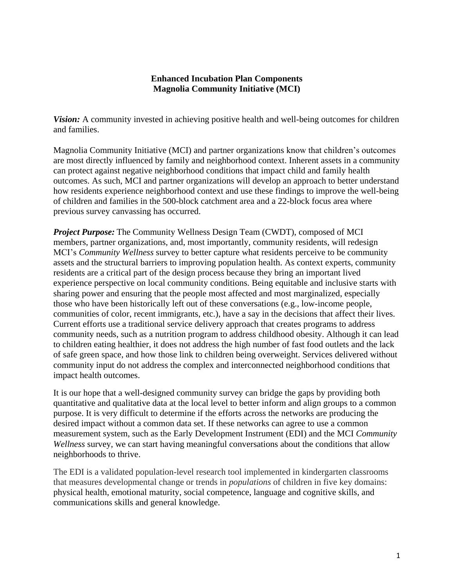#### **Enhanced Incubation Plan Components Magnolia Community Initiative (MCI)**

*Vision:* A community invested in achieving positive health and well-being outcomes for children and families.

Magnolia Community Initiative (MCI) and partner organizations know that children's outcomes are most directly influenced by family and neighborhood context. Inherent assets in a community can protect against negative neighborhood conditions that impact child and family health outcomes. As such, MCI and partner organizations will develop an approach to better understand how residents experience neighborhood context and use these findings to improve the well-being of children and families in the 500-block catchment area and a 22-block focus area where previous survey canvassing has occurred.

*Project Purpose:* The Community Wellness Design Team (CWDT), composed of MCI members, partner organizations, and, most importantly, community residents, will redesign MCI's *Community Wellness* survey to better capture what residents perceive to be community assets and the structural barriers to improving population health. As context experts, community residents are a critical part of the design process because they bring an important lived experience perspective on local community conditions. Being equitable and inclusive starts with sharing power and ensuring that the people most affected and most marginalized, especially those who have been historically left out of these conversations (e.g., low-income people, communities of color, recent immigrants, etc.), have a say in the decisions that affect their lives. Current efforts use a traditional service delivery approach that creates programs to address community needs, such as a nutrition program to address childhood obesity. Although it can lead to children eating healthier, it does not address the high number of fast food outlets and the lack of safe green space, and how those link to children being overweight. Services delivered without community input do not address the complex and interconnected neighborhood conditions that impact health outcomes.

It is our hope that a well-designed community survey can bridge the gaps by providing both quantitative and qualitative data at the local level to better inform and align groups to a common purpose. It is very difficult to determine if the efforts across the networks are producing the desired impact without a common data set. If these networks can agree to use a common measurement system, such as the Early Development Instrument (EDI) and the MCI *Community Wellness* survey, we can start having meaningful conversations about the conditions that allow neighborhoods to thrive.

The EDI is a validated population-level research tool implemented in kindergarten classrooms that measures developmental change or trends in *populations* of children in five key domains: physical health, emotional maturity, social competence, language and cognitive skills, and communications skills and general knowledge.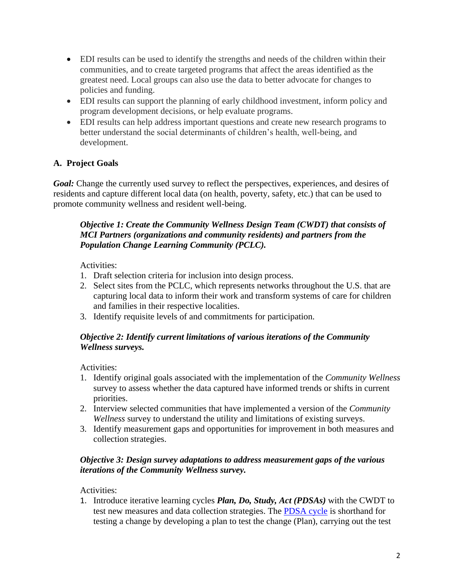- EDI results can be used to identify the strengths and needs of the children within their communities, and to create targeted programs that affect the areas identified as the greatest need. Local groups can also use the data to better advocate for changes to policies and funding.
- EDI results can support the planning of early childhood investment, inform policy and program development decisions, or help evaluate programs.
- EDI results can help address important questions and create new research programs to better understand the social determinants of children's health, well-being, and development.

# **A. Project Goals**

*Goal:* Change the currently used survey to reflect the perspectives, experiences, and desires of residents and capture different local data (on health, poverty, safety, etc.) that can be used to promote community wellness and resident well-being.

### *Objective 1: Create the Community Wellness Design Team (CWDT) that consists of MCI Partners (organizations and community residents) and partners from the Population Change Learning Community (PCLC).*

### Activities:

- 1. Draft selection criteria for inclusion into design process.
- 2. Select sites from the PCLC, which represents networks throughout the U.S. that are capturing local data to inform their work and transform systems of care for children and families in their respective localities.
- 3. Identify requisite levels of and commitments for participation.

### *Objective 2: Identify current limitations of various iterations of the Community Wellness surveys.*

Activities:

- 1. Identify original goals associated with the implementation of the *Community Wellness* survey to assess whether the data captured have informed trends or shifts in current priorities.
- 2. Interview selected communities that have implemented a version of the *Community Wellness* survey to understand the utility and limitations of existing surveys.
- 3. Identify measurement gaps and opportunities for improvement in both measures and collection strategies.

### *Objective 3: Design survey adaptations to address measurement gaps of the various iterations of the Community Wellness survey.*

Activities:

1. Introduce iterative learning cycles *Plan, Do, Study, Act (PDSAs)* with the CWDT to test new measures and data collection strategies. The [PDSA cycle](http://www.ihi.org/resources/Pages/HowtoImprove/default.aspx) is shorthand for testing a change by developing a plan to test the change (Plan), carrying out the test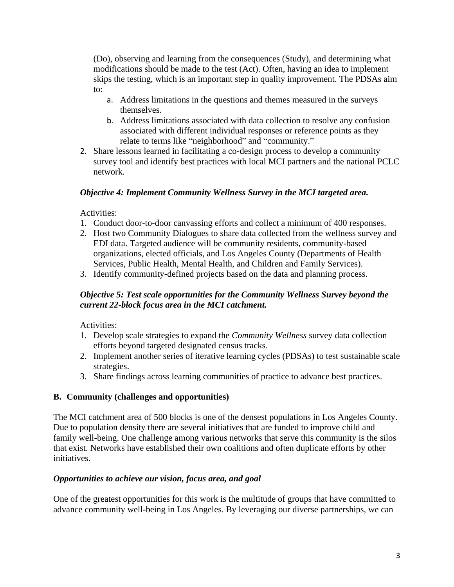(Do), observing and learning from the consequences (Study), and determining what modifications should be made to the test (Act). Often, having an idea to implement skips the testing, which is an important step in quality improvement. The PDSAs aim to:

- a. Address limitations in the questions and themes measured in the surveys themselves.
- b. Address limitations associated with data collection to resolve any confusion associated with different individual responses or reference points as they relate to terms like "neighborhood" and "community."
- 2. Share lessons learned in facilitating a co-design process to develop a community survey tool and identify best practices with local MCI partners and the national PCLC network.

## *Objective 4: Implement Community Wellness Survey in the MCI targeted area.*

Activities:

- 1. Conduct door-to-door canvassing efforts and collect a minimum of 400 responses.
- 2. Host two Community Dialogues to share data collected from the wellness survey and EDI data. Targeted audience will be community residents, community-based organizations, elected officials, and Los Angeles County (Departments of Health Services, Public Health, Mental Health, and Children and Family Services).
- 3. Identify community-defined projects based on the data and planning process.

## *Objective 5: Test scale opportunities for the Community Wellness Survey beyond the current 22-block focus area in the MCI catchment.*

Activities:

- 1. Develop scale strategies to expand the *Community Wellness* survey data collection efforts beyond targeted designated census tracks.
- 2. Implement another series of iterative learning cycles (PDSAs) to test sustainable scale strategies.
- 3. Share findings across learning communities of practice to advance best practices.

# **B. Community (challenges and opportunities)**

The MCI catchment area of 500 blocks is one of the densest populations in Los Angeles County. Due to population density there are several initiatives that are funded to improve child and family well-being. One challenge among various networks that serve this community is the silos that exist. Networks have established their own coalitions and often duplicate efforts by other initiatives.

### *Opportunities to achieve our vision, focus area, and goal*

One of the greatest opportunities for this work is the multitude of groups that have committed to advance community well-being in Los Angeles. By leveraging our diverse partnerships, we can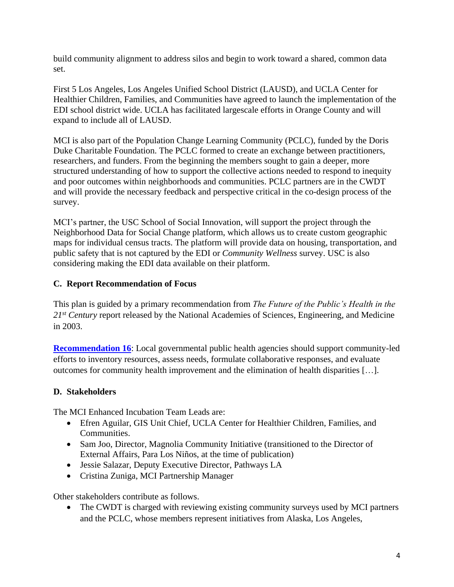build community alignment to address silos and begin to work toward a shared, common data set.

First 5 Los Angeles, Los Angeles Unified School District (LAUSD), and UCLA Center for Healthier Children, Families, and Communities have agreed to launch the implementation of the EDI school district wide. UCLA has facilitated largescale efforts in Orange County and will expand to include all of LAUSD.

MCI is also part of the Population Change Learning Community (PCLC), funded by the Doris Duke Charitable Foundation. The PCLC formed to create an exchange between practitioners, researchers, and funders. From the beginning the members sought to gain a deeper, more structured understanding of how to support the collective actions needed to respond to inequity and poor outcomes within neighborhoods and communities. PCLC partners are in the CWDT and will provide the necessary feedback and perspective critical in the co-design process of the survey.

MCI's partner, the USC School of Social Innovation, will support the project through the Neighborhood Data for Social Change platform, which allows us to create custom geographic maps for individual census tracts. The platform will provide data on housing, transportation, and public safety that is not captured by the EDI or *Community Wellness* survey. USC is also considering making the EDI data available on their platform.

# **C. Report Recommendation of Focus**

This plan is guided by a primary recommendation from *The Future of the Public's Health in the 21st Century* report released by the National Academies of Sciences, Engineering, and Medicine in 2003.

**[Recommendation 16](https://www.nap.edu/read/10548/chapter/2)**: Local governmental public health agencies should support community-led efforts to inventory resources, assess needs, formulate collaborative responses, and evaluate outcomes for community health improvement and the elimination of health disparities […].

### **D. Stakeholders**

The MCI Enhanced Incubation Team Leads are:

- Efren Aguilar, GIS Unit Chief, UCLA Center for Healthier Children, Families, and Communities.
- Sam Joo, Director, Magnolia Community Initiative (transitioned to the Director of External Affairs, Para Los Niños, at the time of publication)
- Jessie Salazar, Deputy Executive Director, Pathways LA
- Cristina Zuniga, MCI Partnership Manager

Other stakeholders contribute as follows.

• The CWDT is charged with reviewing existing community surveys used by MCI partners and the PCLC, whose members represent initiatives from Alaska, Los Angeles,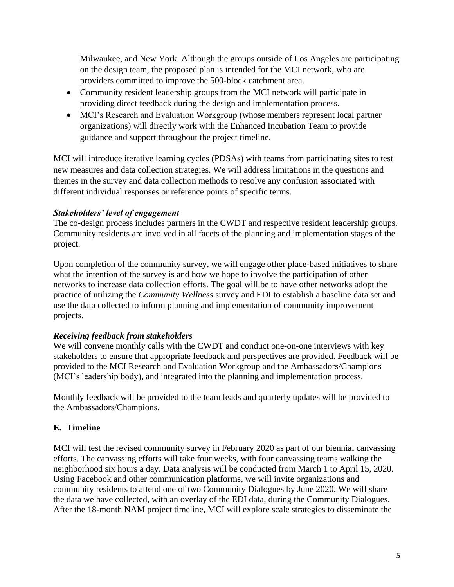Milwaukee, and New York. Although the groups outside of Los Angeles are participating on the design team, the proposed plan is intended for the MCI network, who are providers committed to improve the 500-block catchment area.

- Community resident leadership groups from the MCI network will participate in providing direct feedback during the design and implementation process.
- MCI's Research and Evaluation Workgroup (whose members represent local partner organizations) will directly work with the Enhanced Incubation Team to provide guidance and support throughout the project timeline.

MCI will introduce iterative learning cycles (PDSAs) with teams from participating sites to test new measures and data collection strategies. We will address limitations in the questions and themes in the survey and data collection methods to resolve any confusion associated with different individual responses or reference points of specific terms.

## *Stakeholders' level of engagement*

The co-design process includes partners in the CWDT and respective resident leadership groups. Community residents are involved in all facets of the planning and implementation stages of the project.

Upon completion of the community survey, we will engage other place-based initiatives to share what the intention of the survey is and how we hope to involve the participation of other networks to increase data collection efforts. The goal will be to have other networks adopt the practice of utilizing the *Community Wellness* survey and EDI to establish a baseline data set and use the data collected to inform planning and implementation of community improvement projects.

# *Receiving feedback from stakeholders*

We will convene monthly calls with the CWDT and conduct one-on-one interviews with key stakeholders to ensure that appropriate feedback and perspectives are provided. Feedback will be provided to the MCI Research and Evaluation Workgroup and the Ambassadors/Champions (MCI's leadership body), and integrated into the planning and implementation process.

Monthly feedback will be provided to the team leads and quarterly updates will be provided to the Ambassadors/Champions.

# **E. Timeline**

MCI will test the revised community survey in February 2020 as part of our biennial canvassing efforts. The canvassing efforts will take four weeks, with four canvassing teams walking the neighborhood six hours a day. Data analysis will be conducted from March 1 to April 15, 2020. Using Facebook and other communication platforms, we will invite organizations and community residents to attend one of two Community Dialogues by June 2020. We will share the data we have collected, with an overlay of the EDI data, during the Community Dialogues. After the 18-month NAM project timeline, MCI will explore scale strategies to disseminate the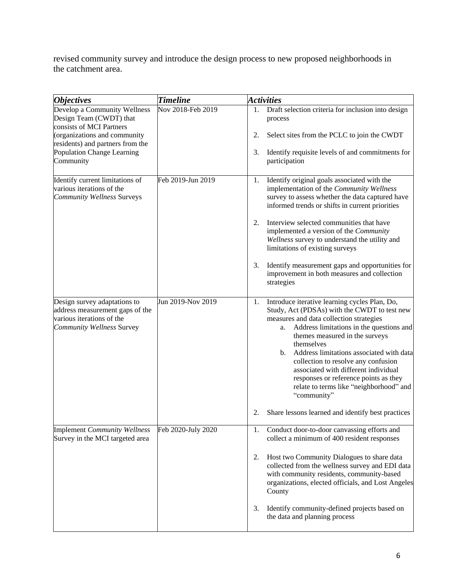revised community survey and introduce the design process to new proposed neighborhoods in the catchment area.

| <i><b>Objectives</b></i>                                                                                                         | <b>Timeline</b>    | <b>Activities</b>                                                                                                                                                                                                                                                                                                                                                                                                                                                                               |
|----------------------------------------------------------------------------------------------------------------------------------|--------------------|-------------------------------------------------------------------------------------------------------------------------------------------------------------------------------------------------------------------------------------------------------------------------------------------------------------------------------------------------------------------------------------------------------------------------------------------------------------------------------------------------|
| Develop a Community Wellness<br>Design Team (CWDT) that<br>consists of MCI Partners                                              | Nov 2018-Feb 2019  | Draft selection criteria for inclusion into design<br>1.<br>process                                                                                                                                                                                                                                                                                                                                                                                                                             |
| (organizations and community<br>residents) and partners from the                                                                 |                    | Select sites from the PCLC to join the CWDT<br>2.                                                                                                                                                                                                                                                                                                                                                                                                                                               |
| Population Change Learning<br>Community                                                                                          |                    | Identify requisite levels of and commitments for<br>3.<br>participation                                                                                                                                                                                                                                                                                                                                                                                                                         |
| Identify current limitations of<br>various iterations of the<br><b>Community Wellness Surveys</b>                                | Feb 2019-Jun 2019  | Identify original goals associated with the<br>1.<br>implementation of the Community Wellness<br>survey to assess whether the data captured have<br>informed trends or shifts in current priorities                                                                                                                                                                                                                                                                                             |
|                                                                                                                                  |                    | Interview selected communities that have<br>2.<br>implemented a version of the Community<br>Wellness survey to understand the utility and<br>limitations of existing surveys                                                                                                                                                                                                                                                                                                                    |
|                                                                                                                                  |                    | 3.<br>Identify measurement gaps and opportunities for<br>improvement in both measures and collection<br>strategies                                                                                                                                                                                                                                                                                                                                                                              |
| Design survey adaptations to<br>address measurement gaps of the<br>various iterations of the<br><b>Community Wellness Survey</b> | Jun 2019-Nov 2019  | Introduce iterative learning cycles Plan, Do,<br>1.<br>Study, Act (PDSAs) with the CWDT to test new<br>measures and data collection strategies<br>Address limitations in the questions and<br>a.<br>themes measured in the surveys<br>themselves<br>Address limitations associated with data<br>$\mathbf b$ .<br>collection to resolve any confusion<br>associated with different individual<br>responses or reference points as they<br>relate to terms like "neighborhood" and<br>"community" |
| <b>Implement Community Wellness</b>                                                                                              | Feb 2020-July 2020 | Share lessons learned and identify best practices<br>2.<br>1. Conduct door-to-door canvassing efforts and                                                                                                                                                                                                                                                                                                                                                                                       |
| Survey in the MCI targeted area                                                                                                  |                    | collect a minimum of 400 resident responses                                                                                                                                                                                                                                                                                                                                                                                                                                                     |
|                                                                                                                                  |                    | Host two Community Dialogues to share data<br>2.<br>collected from the wellness survey and EDI data<br>with community residents, community-based<br>organizations, elected officials, and Lost Angeles<br>County                                                                                                                                                                                                                                                                                |
|                                                                                                                                  |                    | Identify community-defined projects based on<br>3.<br>the data and planning process                                                                                                                                                                                                                                                                                                                                                                                                             |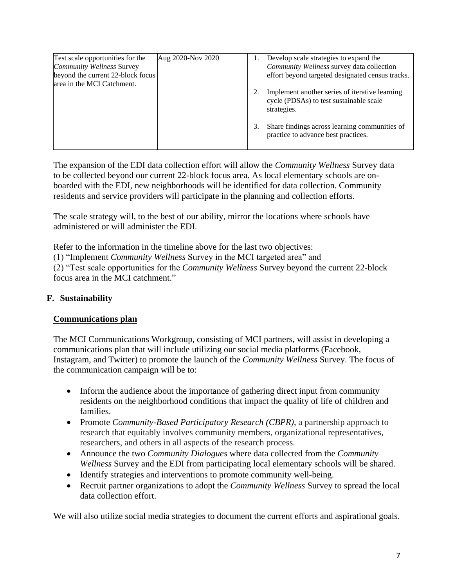| Test scale opportunities for the  | Aug 2020-Nov 2020 | Develop scale strategies to expand the                                                                   |
|-----------------------------------|-------------------|----------------------------------------------------------------------------------------------------------|
| <b>Community Wellness Survey</b>  |                   | Community Wellness survey data collection                                                                |
| beyond the current 22-block focus |                   | effort beyond targeted designated census tracks.                                                         |
| area in the MCI Catchment.        |                   |                                                                                                          |
|                                   |                   | Implement another series of iterative learning<br>cycle (PDSAs) to test sustainable scale<br>strategies. |
|                                   |                   | Share findings across learning communities of<br>practice to advance best practices.                     |

The expansion of the EDI data collection effort will allow the *Community Wellness* Survey data to be collected beyond our current 22-block focus area. As local elementary schools are onboarded with the EDI, new neighborhoods will be identified for data collection. Community residents and service providers will participate in the planning and collection efforts.

The scale strategy will, to the best of our ability, mirror the locations where schools have administered or will administer the EDI.

Refer to the information in the timeline above for the last two objectives:

(1) "Implement *Community Wellness* Survey in the MCI targeted area" and

(2) "Test scale opportunities for the *Community Wellness* Survey beyond the current 22-block focus area in the MCI catchment."

### **F. Sustainability**

### **Communications plan**

The MCI Communications Workgroup, consisting of MCI partners, will assist in developing a communications plan that will include utilizing our social media platforms (Facebook, Instagram, and Twitter) to promote the launch of the *Community Wellness* Survey. The focus of the communication campaign will be to:

- Inform the audience about the importance of gathering direct input from community residents on the neighborhood conditions that impact the quality of life of children and families.
- Promote *Community-Based Participatory Research (CBPR)*, a partnership approach to research that equitably involves community members, organizational representatives, researchers, and others in all aspects of the research process.
- Announce the two *Community Dialogues* where data collected from the *Community Wellness* Survey and the EDI from participating local elementary schools will be shared.
- Identify strategies and interventions to promote community well-being.
- Recruit partner organizations to adopt the *Community Wellness* Survey to spread the local data collection effort.

We will also utilize social media strategies to document the current efforts and aspirational goals.